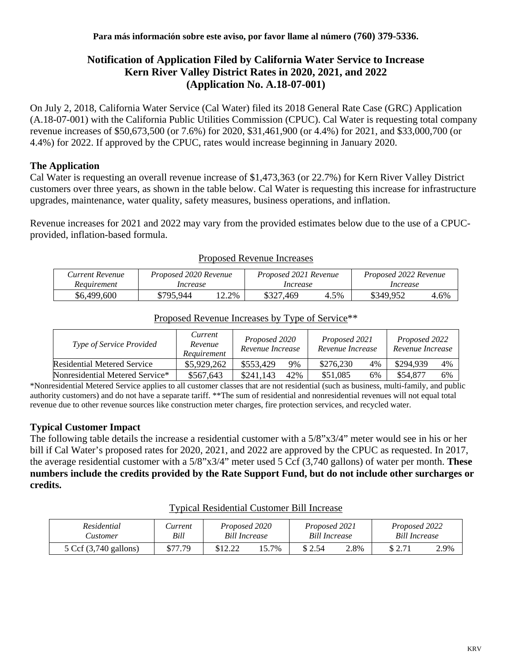# **Notification of Application Filed by California Water Service to Increase Kern River Valley District Rates in 2020, 2021, and 2022 (Application No. A.18-07-001)**

On July 2, 2018, California Water Service (Cal Water) filed its 2018 General Rate Case (GRC) Application (A.18-07-001) with the California Public Utilities Commission (CPUC). Cal Water is requesting total company revenue increases of \$50,673,500 (or 7.6%) for 2020, \$31,461,900 (or 4.4%) for 2021, and \$33,000,700 (or 4.4%) for 2022. If approved by the CPUC, rates would increase beginning in January 2020.

## **The Application**

Cal Water is requesting an overall revenue increase of \$1,473,363 (or 22.7%) for Kern River Valley District customers over three years, as shown in the table below. Cal Water is requesting this increase for infrastructure upgrades, maintenance, water quality, safety measures, business operations, and inflation.

Revenue increases for 2021 and 2022 may vary from the provided estimates below due to the use of a CPUCprovided, inflation-based formula.

| Current Revenue | Proposed 2020 Revenue |         | Proposed 2021 Revenue |      | Proposed 2022 Revenue |      |  |
|-----------------|-----------------------|---------|-----------------------|------|-----------------------|------|--|
| Requirement     | Increase              |         | Increase              |      | Increase              |      |  |
| \$6,499,600     | \$795.944             | $2.2\%$ | \$327.469             | 4.5% | \$349.952             | 4.6% |  |

#### Proposed Revenue Increases

| Type of Service Provided        | Current<br>Revenue<br>Requirement | Proposed 2020<br>Revenue Increase |     | Proposed 2021<br>Revenue Increase |    | Proposed 2022<br>Revenue Increase |    |
|---------------------------------|-----------------------------------|-----------------------------------|-----|-----------------------------------|----|-----------------------------------|----|
| Residential Metered Service     | \$5,929,262                       | \$553.429                         | 9%  | \$276,230                         | 4% | \$294,939                         | 4% |
| Nonresidential Metered Service* | \$567,643                         | \$241,143                         | 42% | \$51,085                          | 6% | \$54,877                          | 6% |

# Proposed Revenue Increases by Type of Service\*\*

\*Nonresidential Metered Service applies to all customer classes that are not residential (such as business, multi-family, and public authority customers) and do not have a separate tariff. \*\*The sum of residential and nonresidential revenues will not equal total revenue due to other revenue sources like construction meter charges, fire protection services, and recycled water.

# **Typical Customer Impact**

The following table details the increase a residential customer with a 5/8"x3/4" meter would see in his or her bill if Cal Water's proposed rates for 2020, 2021, and 2022 are approved by the CPUC as requested. In 2017, the average residential customer with a 5/8"x3/4" meter used 5 Ccf (3,740 gallons) of water per month. **These numbers include the credits provided by the Rate Support Fund, but do not include other surcharges or credits.**

| Residential           | <i>Lurrent</i> | Proposed 2020        |      | Proposed 2021        |      | Proposed 2022 |      |
|-----------------------|----------------|----------------------|------|----------------------|------|---------------|------|
| <i>Sustomer</i>       | Bill           | <b>Bill Increase</b> |      | <b>Bill Increase</b> |      | Bill Increase |      |
| 5 Ccf (3,740 gallons) | \$77.79        | 0.12.21<br>014.44    | 5.7% | \$2.54               | 2.8% | $C \cap 7$    | 2.9% |

#### Typical Residential Customer Bill Increase